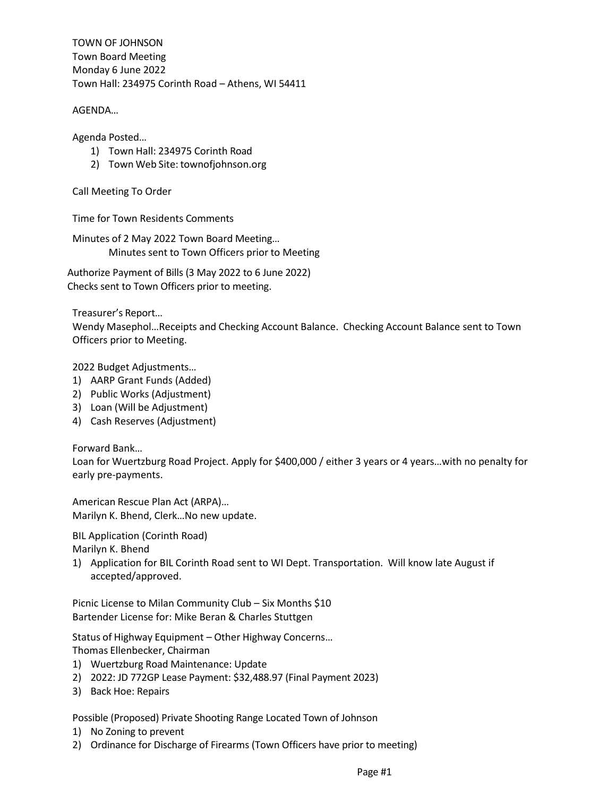TOWN OF JOHNSON Town Board Meeting Monday 6 June 2022 Town Hall: 234975 Corinth Road – Athens, WI 54411

AGENDA…

Agenda Posted…

- 1) Town Hall: 234975 Corinth Road
- 2) Town Web Site: townofjohnson.org

Call Meeting To Order

Time for Town Residents Comments

Minutes of 2 May 2022 Town Board Meeting… Minutes sent to Town Officers prior to Meeting

Authorize Payment of Bills (3 May 2022 to 6 June 2022) Checks sent to Town Officers prior to meeting.

Treasurer's Report…

Wendy Masephol…Receipts and Checking Account Balance. Checking Account Balance sent to Town Officers prior to Meeting.

2022 Budget Adjustments…

- 1) AARP Grant Funds (Added)
- 2) Public Works (Adjustment)
- 3) Loan (Will be Adjustment)
- 4) Cash Reserves (Adjustment)

Forward Bank…

Loan for Wuertzburg Road Project. Apply for \$400,000 / either 3 years or 4 years…with no penalty for early pre-payments.

American Rescue Plan Act (ARPA)… Marilyn K. Bhend, Clerk…No new update.

BIL Application (Corinth Road)

Marilyn K. Bhend

1) Application for BIL Corinth Road sent to WI Dept. Transportation. Will know late August if accepted/approved.

Picnic License to Milan Community Club – Six Months \$10 Bartender License for: Mike Beran & Charles Stuttgen

Status of Highway Equipment – Other Highway Concerns…

Thomas Ellenbecker, Chairman

- 1) Wuertzburg Road Maintenance: Update
- 2) 2022: JD 772GP Lease Payment: \$32,488.97 (Final Payment 2023)
- 3) Back Hoe: Repairs

Possible (Proposed) Private Shooting Range Located Town of Johnson

- 1) No Zoning to prevent
- 2) Ordinance for Discharge of Firearms (Town Officers have prior to meeting)